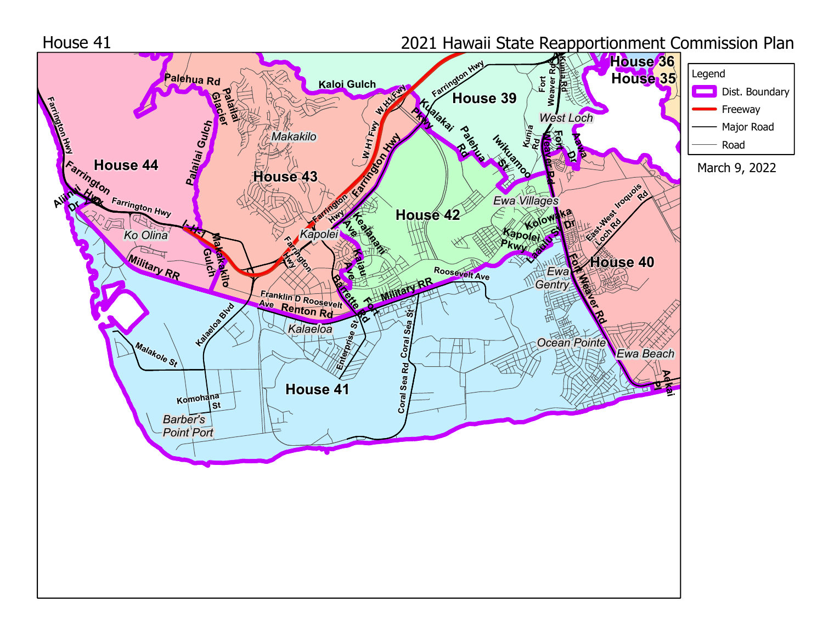